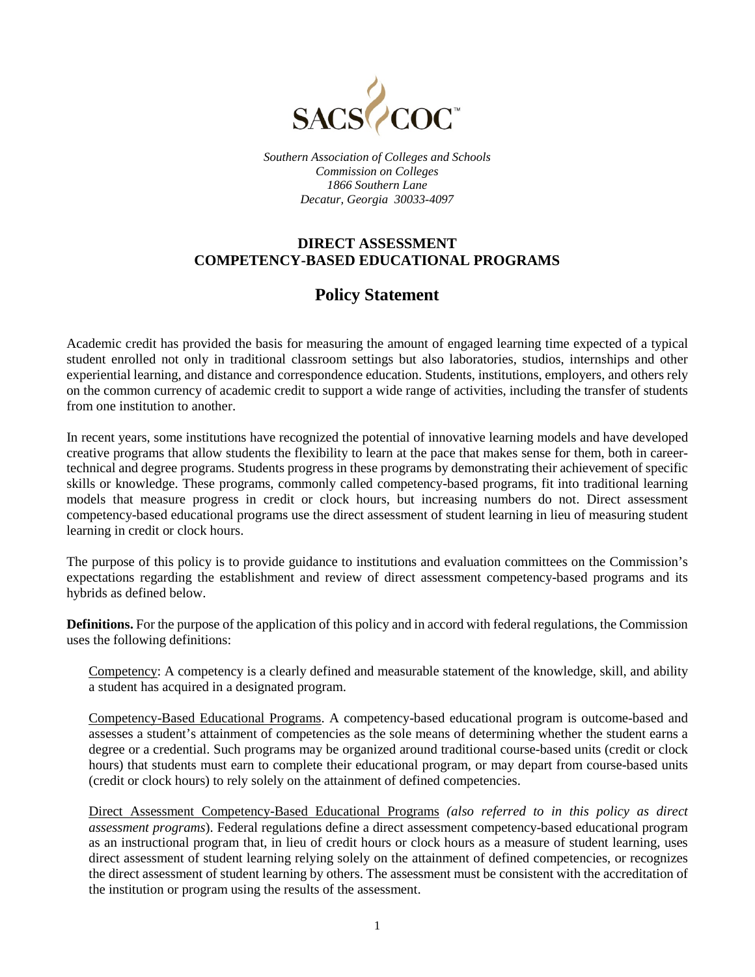

*Southern Association of Colleges and Schools Commission on Colleges 1866 Southern Lane Decatur, Georgia 30033-4097*

## **DIRECT ASSESSMENT COMPETENCY-BASED EDUCATIONAL PROGRAMS**

## **Policy Statement**

Academic credit has provided the basis for measuring the amount of engaged learning time expected of a typical student enrolled not only in traditional classroom settings but also laboratories, studios, internships and other experiential learning, and distance and correspondence education. Students, institutions, employers, and others rely on the common currency of academic credit to support a wide range of activities, including the transfer of students from one institution to another.

In recent years, some institutions have recognized the potential of innovative learning models and have developed creative programs that allow students the flexibility to learn at the pace that makes sense for them, both in careertechnical and degree programs. Students progress in these programs by demonstrating their achievement of specific skills or knowledge. These programs, commonly called competency-based programs, fit into traditional learning models that measure progress in credit or clock hours, but increasing numbers do not. Direct assessment competency-based educational programs use the direct assessment of student learning in lieu of measuring student learning in credit or clock hours.

The purpose of this policy is to provide guidance to institutions and evaluation committees on the Commission's expectations regarding the establishment and review of direct assessment competency-based programs and its hybrids as defined below.

**Definitions.** For the purpose of the application of this policy and in accord with federal regulations, the Commission uses the following definitions:

Competency: A competency is a clearly defined and measurable statement of the knowledge, skill, and ability a student has acquired in a designated program.

Competency-Based Educational Programs. A competency-based educational program is outcome-based and assesses a student's attainment of competencies as the sole means of determining whether the student earns a degree or a credential. Such programs may be organized around traditional course-based units (credit or clock hours) that students must earn to complete their educational program, or may depart from course-based units (credit or clock hours) to rely solely on the attainment of defined competencies.

Direct Assessment Competency-Based Educational Programs *(also referred to in this policy as direct assessment programs*). Federal regulations define a direct assessment competency-based educational program as an instructional program that, in lieu of credit hours or clock hours as a measure of student learning, uses direct assessment of student learning relying solely on the attainment of defined competencies, or recognizes the direct assessment of student learning by others. The assessment must be consistent with the accreditation of the institution or program using the results of the assessment.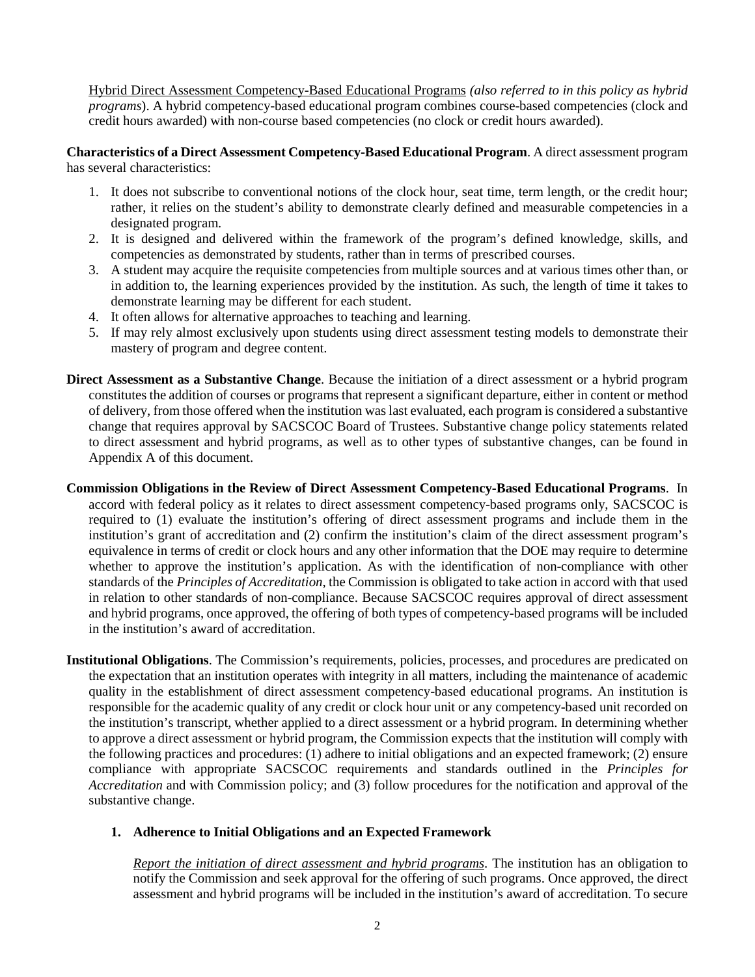Hybrid Direct Assessment Competency-Based Educational Programs *(also referred to in this policy as hybrid programs*). A hybrid competency-based educational program combines course-based competencies (clock and credit hours awarded) with non-course based competencies (no clock or credit hours awarded).

**Characteristics of a Direct Assessment Competency-Based Educational Program**. A direct assessment program has several characteristics:

- 1. It does not subscribe to conventional notions of the clock hour, seat time, term length, or the credit hour; rather, it relies on the student's ability to demonstrate clearly defined and measurable competencies in a designated program.
- 2. It is designed and delivered within the framework of the program's defined knowledge, skills, and competencies as demonstrated by students, rather than in terms of prescribed courses.
- 3. A student may acquire the requisite competencies from multiple sources and at various times other than, or in addition to, the learning experiences provided by the institution. As such, the length of time it takes to demonstrate learning may be different for each student.
- 4. It often allows for alternative approaches to teaching and learning.
- 5. If may rely almost exclusively upon students using direct assessment testing models to demonstrate their mastery of program and degree content.
- **Direct Assessment as a Substantive Change**. Because the initiation of a direct assessment or a hybrid program constitutes the addition of courses or programs that represent a significant departure, either in content or method of delivery, from those offered when the institution was last evaluated, each program is considered a substantive change that requires approval by SACSCOC Board of Trustees. Substantive change policy statements related to direct assessment and hybrid programs, as well as to other types of substantive changes, can be found in Appendix A of this document.
- **Commission Obligations in the Review of Direct Assessment Competency-Based Educational Programs**. In accord with federal policy as it relates to direct assessment competency-based programs only, SACSCOC is required to (1) evaluate the institution's offering of direct assessment programs and include them in the institution's grant of accreditation and (2) confirm the institution's claim of the direct assessment program's equivalence in terms of credit or clock hours and any other information that the DOE may require to determine whether to approve the institution's application. As with the identification of non-compliance with other standards of the *Principles of Accreditation*, the Commission is obligated to take action in accord with that used in relation to other standards of non-compliance. Because SACSCOC requires approval of direct assessment and hybrid programs, once approved, the offering of both types of competency-based programs will be included in the institution's award of accreditation.
- **Institutional Obligations**. The Commission's requirements, policies, processes, and procedures are predicated on the expectation that an institution operates with integrity in all matters, including the maintenance of academic quality in the establishment of direct assessment competency-based educational programs. An institution is responsible for the academic quality of any credit or clock hour unit or any competency-based unit recorded on the institution's transcript, whether applied to a direct assessment or a hybrid program. In determining whether to approve a direct assessment or hybrid program, the Commission expects that the institution will comply with the following practices and procedures: (1) adhere to initial obligations and an expected framework; (2) ensure compliance with appropriate SACSCOC requirements and standards outlined in the *Principles for Accreditation* and with Commission policy; and (3) follow procedures for the notification and approval of the substantive change.

## **1. Adherence to Initial Obligations and an Expected Framework**

*Report the initiation of direct assessment and hybrid programs*. The institution has an obligation to notify the Commission and seek approval for the offering of such programs. Once approved, the direct assessment and hybrid programs will be included in the institution's award of accreditation. To secure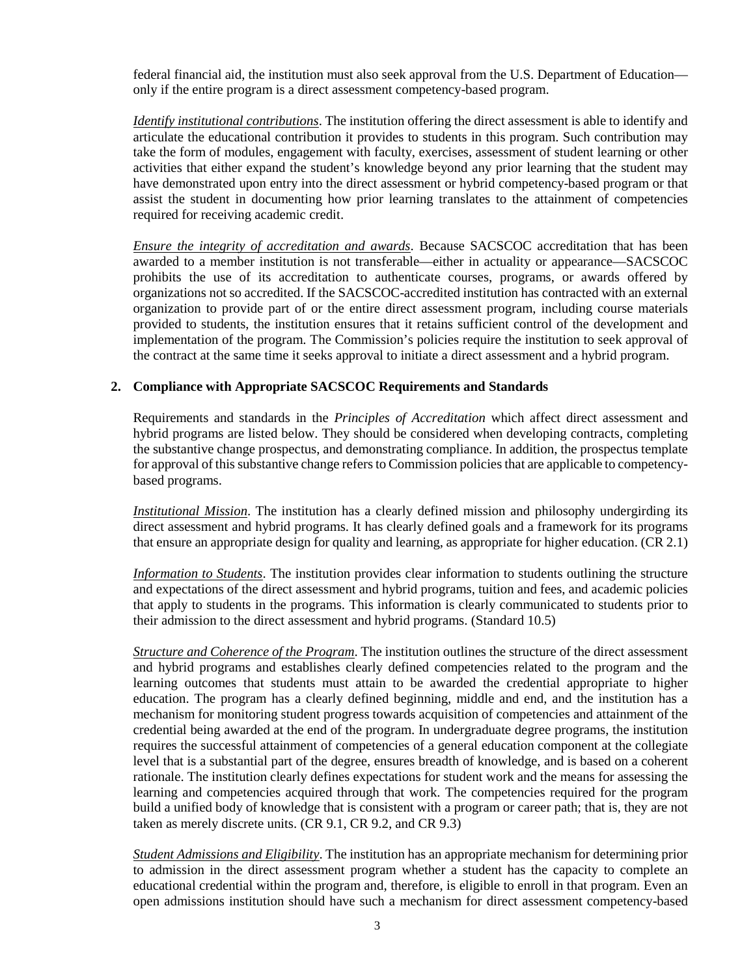federal financial aid, the institution must also seek approval from the U.S. Department of Education only if the entire program is a direct assessment competency-based program.

*Identify institutional contributions*. The institution offering the direct assessment is able to identify and articulate the educational contribution it provides to students in this program. Such contribution may take the form of modules, engagement with faculty, exercises, assessment of student learning or other activities that either expand the student's knowledge beyond any prior learning that the student may have demonstrated upon entry into the direct assessment or hybrid competency-based program or that assist the student in documenting how prior learning translates to the attainment of competencies required for receiving academic credit.

*Ensure the integrity of accreditation and awards*. Because SACSCOC accreditation that has been awarded to a member institution is not transferable—either in actuality or appearance—SACSCOC prohibits the use of its accreditation to authenticate courses, programs, or awards offered by organizations not so accredited. If the SACSCOC-accredited institution has contracted with an external organization to provide part of or the entire direct assessment program, including course materials provided to students, the institution ensures that it retains sufficient control of the development and implementation of the program. The Commission's policies require the institution to seek approval of the contract at the same time it seeks approval to initiate a direct assessment and a hybrid program.

## **2. Compliance with Appropriate SACSCOC Requirements and Standards**

Requirements and standards in the *Principles of Accreditation* which affect direct assessment and hybrid programs are listed below. They should be considered when developing contracts, completing the substantive change prospectus, and demonstrating compliance. In addition, the prospectus template for approval of this substantive change refers to Commission policies that are applicable to competencybased programs.

*Institutional Mission*. The institution has a clearly defined mission and philosophy undergirding its direct assessment and hybrid programs. It has clearly defined goals and a framework for its programs that ensure an appropriate design for quality and learning, as appropriate for higher education. (CR 2.1)

*Information to Students*. The institution provides clear information to students outlining the structure and expectations of the direct assessment and hybrid programs, tuition and fees, and academic policies that apply to students in the programs. This information is clearly communicated to students prior to their admission to the direct assessment and hybrid programs. (Standard 10.5)

*Structure and Coherence of the Program*. The institution outlines the structure of the direct assessment and hybrid programs and establishes clearly defined competencies related to the program and the learning outcomes that students must attain to be awarded the credential appropriate to higher education. The program has a clearly defined beginning, middle and end, and the institution has a mechanism for monitoring student progress towards acquisition of competencies and attainment of the credential being awarded at the end of the program. In undergraduate degree programs, the institution requires the successful attainment of competencies of a general education component at the collegiate level that is a substantial part of the degree, ensures breadth of knowledge, and is based on a coherent rationale. The institution clearly defines expectations for student work and the means for assessing the learning and competencies acquired through that work. The competencies required for the program build a unified body of knowledge that is consistent with a program or career path; that is, they are not taken as merely discrete units. (CR 9.1, CR 9.2, and CR 9.3)

*Student Admissions and Eligibility*. The institution has an appropriate mechanism for determining prior to admission in the direct assessment program whether a student has the capacity to complete an educational credential within the program and, therefore, is eligible to enroll in that program. Even an open admissions institution should have such a mechanism for direct assessment competency-based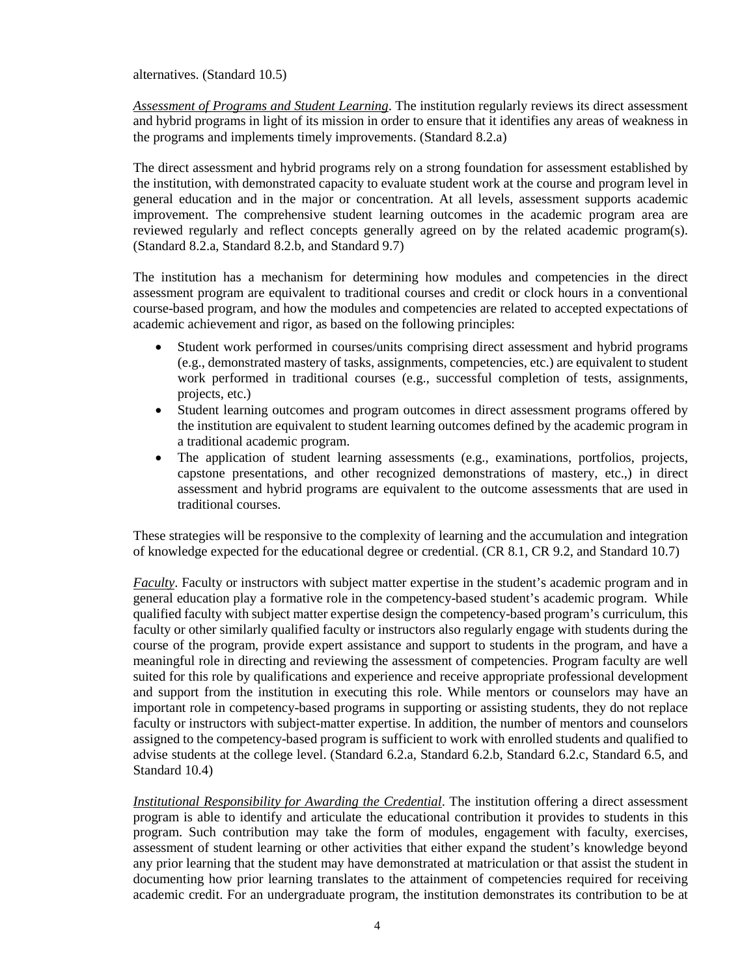alternatives. (Standard 10.5)

*Assessment of Programs and Student Learning*. The institution regularly reviews its direct assessment and hybrid programs in light of its mission in order to ensure that it identifies any areas of weakness in the programs and implements timely improvements. (Standard 8.2.a)

The direct assessment and hybrid programs rely on a strong foundation for assessment established by the institution, with demonstrated capacity to evaluate student work at the course and program level in general education and in the major or concentration. At all levels, assessment supports academic improvement. The comprehensive student learning outcomes in the academic program area are reviewed regularly and reflect concepts generally agreed on by the related academic program(s). (Standard 8.2.a, Standard 8.2.b, and Standard 9.7)

The institution has a mechanism for determining how modules and competencies in the direct assessment program are equivalent to traditional courses and credit or clock hours in a conventional course-based program, and how the modules and competencies are related to accepted expectations of academic achievement and rigor, as based on the following principles:

- Student work performed in courses/units comprising direct assessment and hybrid programs (e.g., demonstrated mastery of tasks, assignments, competencies, etc.) are equivalent to student work performed in traditional courses (e.g., successful completion of tests, assignments, projects, etc.)
- Student learning outcomes and program outcomes in direct assessment programs offered by the institution are equivalent to student learning outcomes defined by the academic program in a traditional academic program.
- The application of student learning assessments (e.g., examinations, portfolios, projects, capstone presentations, and other recognized demonstrations of mastery, etc.,) in direct assessment and hybrid programs are equivalent to the outcome assessments that are used in traditional courses.

These strategies will be responsive to the complexity of learning and the accumulation and integration of knowledge expected for the educational degree or credential. (CR 8.1, CR 9.2, and Standard 10.7)

*Faculty*. Faculty or instructors with subject matter expertise in the student's academic program and in general education play a formative role in the competency-based student's academic program. While qualified faculty with subject matter expertise design the competency-based program's curriculum, this faculty or other similarly qualified faculty or instructors also regularly engage with students during the course of the program, provide expert assistance and support to students in the program, and have a meaningful role in directing and reviewing the assessment of competencies. Program faculty are well suited for this role by qualifications and experience and receive appropriate professional development and support from the institution in executing this role. While mentors or counselors may have an important role in competency-based programs in supporting or assisting students, they do not replace faculty or instructors with subject-matter expertise. In addition, the number of mentors and counselors assigned to the competency-based program is sufficient to work with enrolled students and qualified to advise students at the college level. (Standard 6.2.a, Standard 6.2.b, Standard 6.2.c, Standard 6.5, and Standard 10.4)

*Institutional Responsibility for Awarding the Credential*. The institution offering a direct assessment program is able to identify and articulate the educational contribution it provides to students in this program. Such contribution may take the form of modules, engagement with faculty, exercises, assessment of student learning or other activities that either expand the student's knowledge beyond any prior learning that the student may have demonstrated at matriculation or that assist the student in documenting how prior learning translates to the attainment of competencies required for receiving academic credit. For an undergraduate program, the institution demonstrates its contribution to be at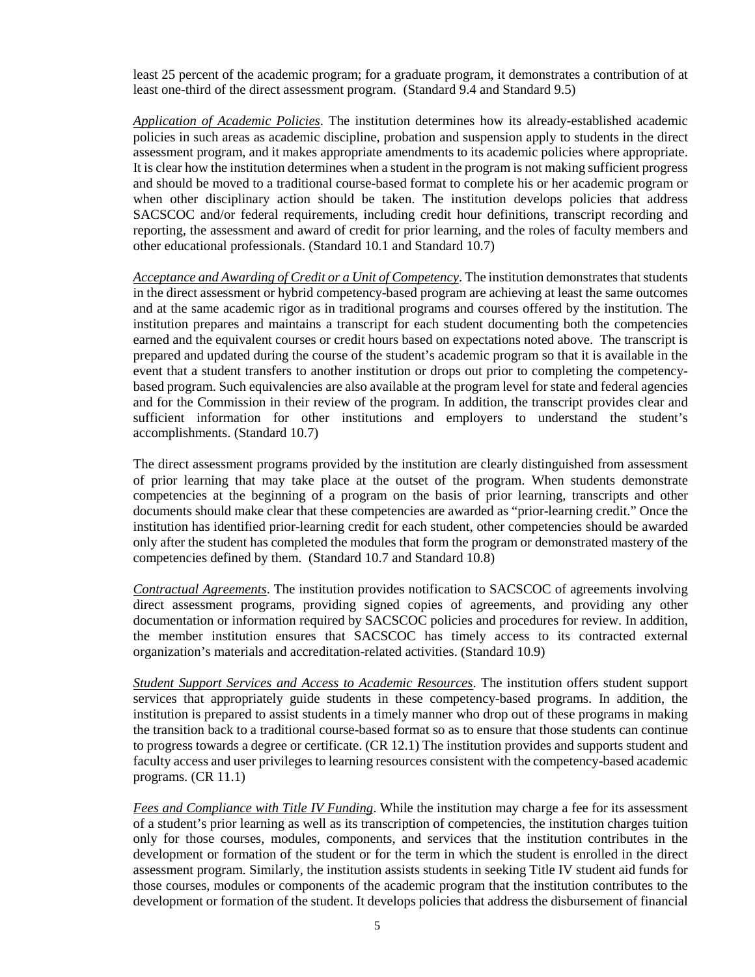least 25 percent of the academic program; for a graduate program, it demonstrates a contribution of at least one-third of the direct assessment program. (Standard 9.4 and Standard 9.5)

*Application of Academic Policies*. The institution determines how its already-established academic policies in such areas as academic discipline, probation and suspension apply to students in the direct assessment program, and it makes appropriate amendments to its academic policies where appropriate. It is clear how the institution determines when a student in the program is not making sufficient progress and should be moved to a traditional course-based format to complete his or her academic program or when other disciplinary action should be taken. The institution develops policies that address SACSCOC and/or federal requirements, including credit hour definitions, transcript recording and reporting, the assessment and award of credit for prior learning, and the roles of faculty members and other educational professionals. (Standard 10.1 and Standard 10.7)

*Acceptance and Awarding of Credit or a Unit of Competency*. The institution demonstrates that students in the direct assessment or hybrid competency-based program are achieving at least the same outcomes and at the same academic rigor as in traditional programs and courses offered by the institution. The institution prepares and maintains a transcript for each student documenting both the competencies earned and the equivalent courses or credit hours based on expectations noted above. The transcript is prepared and updated during the course of the student's academic program so that it is available in the event that a student transfers to another institution or drops out prior to completing the competencybased program. Such equivalencies are also available at the program level for state and federal agencies and for the Commission in their review of the program. In addition, the transcript provides clear and sufficient information for other institutions and employers to understand the student's accomplishments. (Standard 10.7)

The direct assessment programs provided by the institution are clearly distinguished from assessment of prior learning that may take place at the outset of the program. When students demonstrate competencies at the beginning of a program on the basis of prior learning, transcripts and other documents should make clear that these competencies are awarded as "prior-learning credit." Once the institution has identified prior-learning credit for each student, other competencies should be awarded only after the student has completed the modules that form the program or demonstrated mastery of the competencies defined by them. (Standard 10.7 and Standard 10.8)

*Contractual Agreements*. The institution provides notification to SACSCOC of agreements involving direct assessment programs, providing signed copies of agreements, and providing any other documentation or information required by SACSCOC policies and procedures for review. In addition, the member institution ensures that SACSCOC has timely access to its contracted external organization's materials and accreditation-related activities. (Standard 10.9)

*Student Support Services and Access to Academic Resources*. The institution offers student support services that appropriately guide students in these competency-based programs. In addition, the institution is prepared to assist students in a timely manner who drop out of these programs in making the transition back to a traditional course-based format so as to ensure that those students can continue to progress towards a degree or certificate. (CR 12.1) The institution provides and supports student and faculty access and user privileges to learning resources consistent with the competency-based academic programs. (CR 11.1)

*Fees and Compliance with Title IV Funding*. While the institution may charge a fee for its assessment of a student's prior learning as well as its transcription of competencies, the institution charges tuition only for those courses, modules, components, and services that the institution contributes in the development or formation of the student or for the term in which the student is enrolled in the direct assessment program. Similarly, the institution assists students in seeking Title IV student aid funds for those courses, modules or components of the academic program that the institution contributes to the development or formation of the student. It develops policies that address the disbursement of financial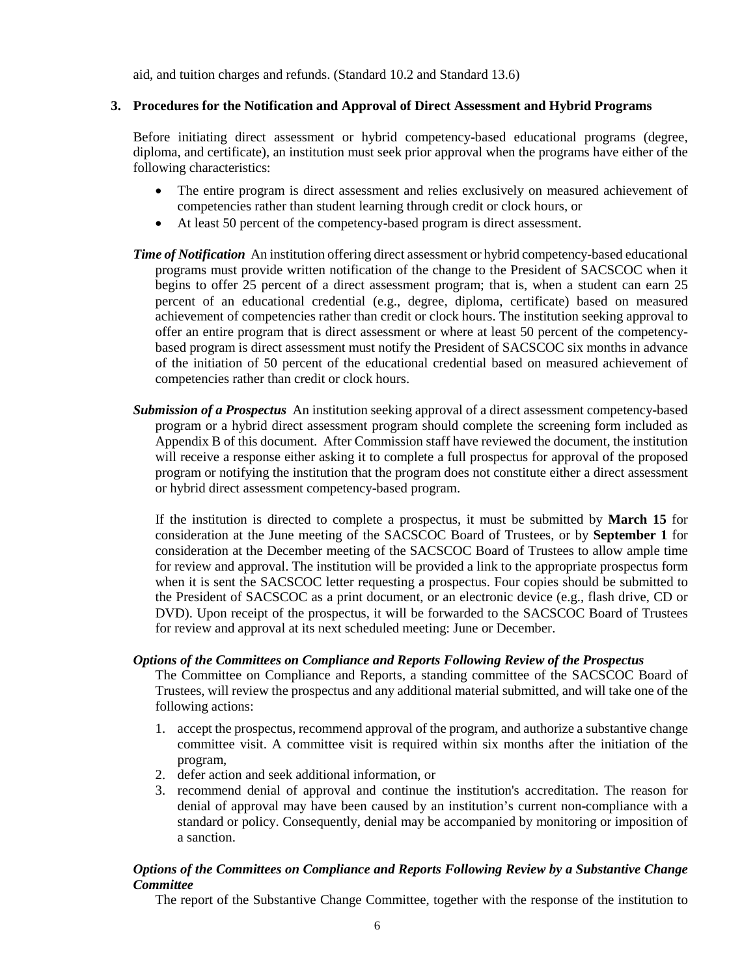aid, and tuition charges and refunds. (Standard 10.2 and Standard 13.6)

#### **3. Procedures for the Notification and Approval of Direct Assessment and Hybrid Programs**

Before initiating direct assessment or hybrid competency-based educational programs (degree, diploma, and certificate), an institution must seek prior approval when the programs have either of the following characteristics:

- The entire program is direct assessment and relies exclusively on measured achievement of competencies rather than student learning through credit or clock hours, or
- At least 50 percent of the competency-based program is direct assessment.
- *Time of Notification* An institution offering direct assessment or hybrid competency-based educational programs must provide written notification of the change to the President of SACSCOC when it begins to offer 25 percent of a direct assessment program; that is, when a student can earn 25 percent of an educational credential (e.g., degree, diploma, certificate) based on measured achievement of competencies rather than credit or clock hours. The institution seeking approval to offer an entire program that is direct assessment or where at least 50 percent of the competencybased program is direct assessment must notify the President of SACSCOC six months in advance of the initiation of 50 percent of the educational credential based on measured achievement of competencies rather than credit or clock hours.
- *Submission of a Prospectus* An institution seeking approval of a direct assessment competency-based program or a hybrid direct assessment program should complete the screening form included as Appendix B of this document. After Commission staff have reviewed the document, the institution will receive a response either asking it to complete a full prospectus for approval of the proposed program or notifying the institution that the program does not constitute either a direct assessment or hybrid direct assessment competency-based program.

If the institution is directed to complete a prospectus, it must be submitted by **March 15** for consideration at the June meeting of the SACSCOC Board of Trustees, or by **September 1** for consideration at the December meeting of the SACSCOC Board of Trustees to allow ample time for review and approval. The institution will be provided a link to the appropriate prospectus form when it is sent the SACSCOC letter requesting a prospectus. Four copies should be submitted to the President of SACSCOC as a print document, or an electronic device (e.g., flash drive, CD or DVD). Upon receipt of the prospectus, it will be forwarded to the SACSCOC Board of Trustees for review and approval at its next scheduled meeting: June or December.

#### *Options of the Committees on Compliance and Reports Following Review of the Prospectus*

The Committee on Compliance and Reports, a standing committee of the SACSCOC Board of Trustees, will review the prospectus and any additional material submitted, and will take one of the following actions:

- 1. accept the prospectus, recommend approval of the program, and authorize a substantive change committee visit. A committee visit is required within six months after the initiation of the program,
- 2. defer action and seek additional information, or
- 3. recommend denial of approval and continue the institution's accreditation. The reason for denial of approval may have been caused by an institution's current non-compliance with a standard or policy. Consequently, denial may be accompanied by monitoring or imposition of a sanction.

## *Options of the Committees on Compliance and Reports Following Review by a Substantive Change Committee*

The report of the Substantive Change Committee, together with the response of the institution to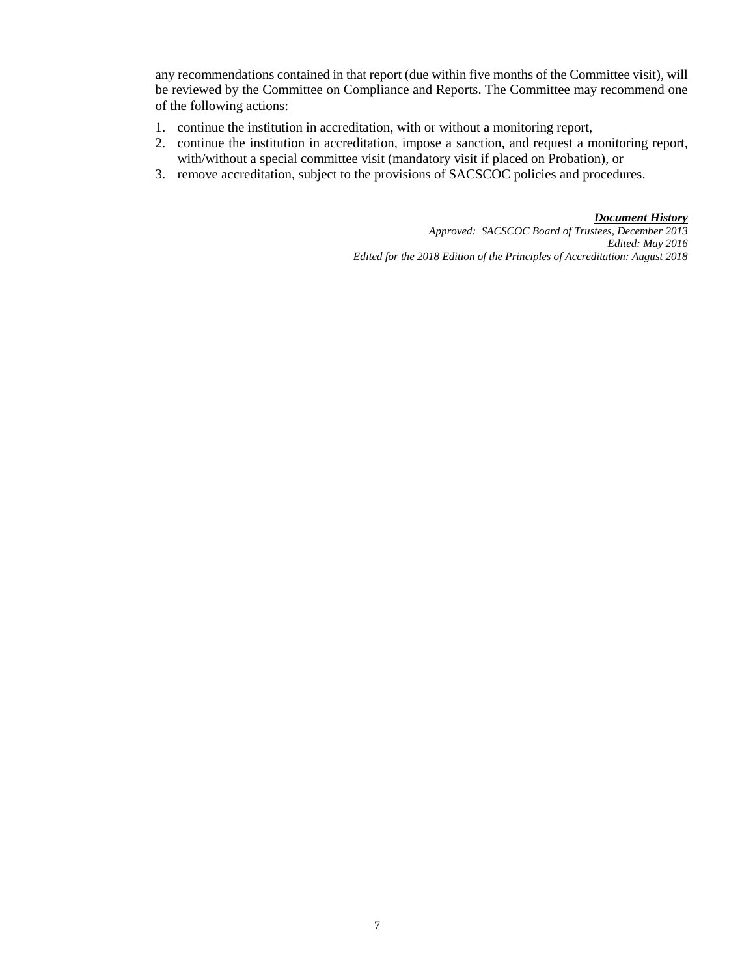any recommendations contained in that report (due within five months of the Committee visit), will be reviewed by the Committee on Compliance and Reports. The Committee may recommend one of the following actions:

- 1. continue the institution in accreditation, with or without a monitoring report,
- 2. continue the institution in accreditation, impose a sanction, and request a monitoring report, with/without a special committee visit (mandatory visit if placed on Probation), or
- 3. remove accreditation, subject to the provisions of SACSCOC policies and procedures.

*Document History*

*Approved: SACSCOC Board of Trustees, December 2013 Edited: May 2016 Edited for the 2018 Edition of the Principles of Accreditation: August 2018*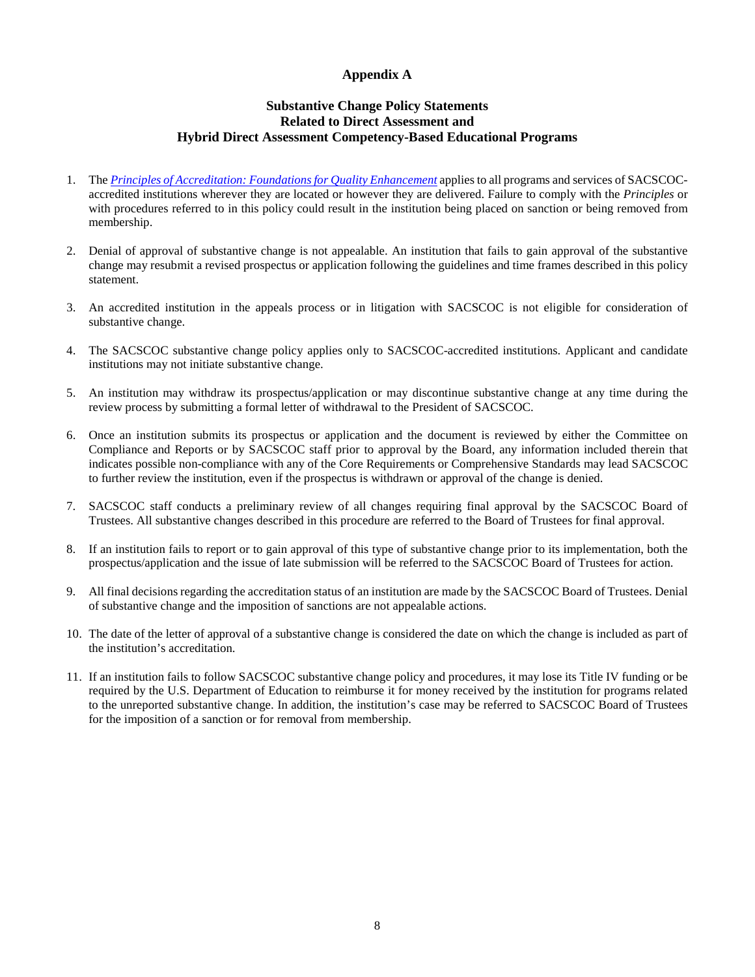#### **Appendix A**

#### **Substantive Change Policy Statements Related to Direct Assessment and Hybrid Direct Assessment Competency-Based Educational Programs**

- 1. The *[Principles of Accreditation: Foundations for Quality Enhancement](http://www.sacscoc.org/pdf/2012PrinciplesOfAcreditation.pdf)* applies to all programs and services of SACSCOCaccredited institutions wherever they are located or however they are delivered. Failure to comply with the *Principles* or with procedures referred to in this policy could result in the institution being placed on sanction or being removed from membership.
- 2. Denial of approval of substantive change is not appealable. An institution that fails to gain approval of the substantive change may resubmit a revised prospectus or application following the guidelines and time frames described in this policy statement.
- 3. An accredited institution in the appeals process or in litigation with SACSCOC is not eligible for consideration of substantive change.
- 4. The SACSCOC substantive change policy applies only to SACSCOC-accredited institutions. Applicant and candidate institutions may not initiate substantive change.
- 5. An institution may withdraw its prospectus/application or may discontinue substantive change at any time during the review process by submitting a formal letter of withdrawal to the President of SACSCOC.
- 6. Once an institution submits its prospectus or application and the document is reviewed by either the Committee on Compliance and Reports or by SACSCOC staff prior to approval by the Board, any information included therein that indicates possible non-compliance with any of the Core Requirements or Comprehensive Standards may lead SACSCOC to further review the institution, even if the prospectus is withdrawn or approval of the change is denied.
- 7. SACSCOC staff conducts a preliminary review of all changes requiring final approval by the SACSCOC Board of Trustees. All substantive changes described in this procedure are referred to the Board of Trustees for final approval.
- 8. If an institution fails to report or to gain approval of this type of substantive change prior to its implementation, both the prospectus/application and the issue of late submission will be referred to the SACSCOC Board of Trustees for action.
- 9. All final decisions regarding the accreditation status of an institution are made by the SACSCOC Board of Trustees. Denial of substantive change and the imposition of sanctions are not appealable actions.
- 10. The date of the letter of approval of a substantive change is considered the date on which the change is included as part of the institution's accreditation.
- 11. If an institution fails to follow SACSCOC substantive change policy and procedures, it may lose its Title IV funding or be required by the U.S. Department of Education to reimburse it for money received by the institution for programs related to the unreported substantive change. In addition, the institution's case may be referred to SACSCOC Board of Trustees for the imposition of a sanction or for removal from membership.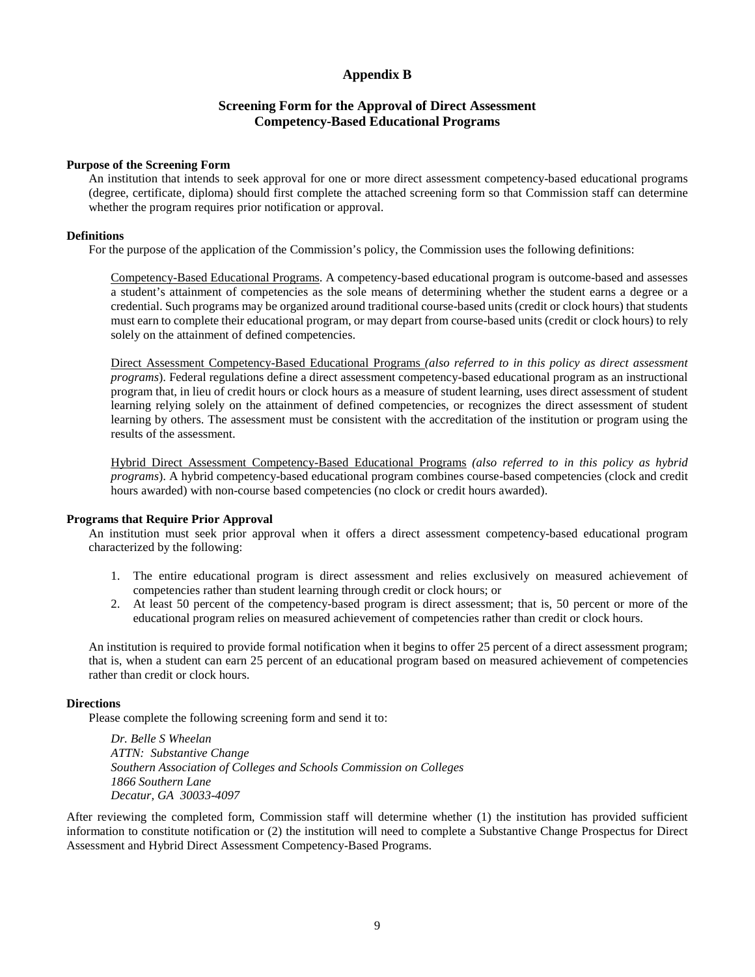#### **Appendix B**

#### **Screening Form for the Approval of Direct Assessment Competency-Based Educational Programs**

#### **Purpose of the Screening Form**

An institution that intends to seek approval for one or more direct assessment competency-based educational programs (degree, certificate, diploma) should first complete the attached screening form so that Commission staff can determine whether the program requires prior notification or approval.

#### **Definitions**

For the purpose of the application of the Commission's policy, the Commission uses the following definitions:

Competency-Based Educational Programs. A competency-based educational program is outcome-based and assesses a student's attainment of competencies as the sole means of determining whether the student earns a degree or a credential. Such programs may be organized around traditional course-based units (credit or clock hours) that students must earn to complete their educational program, or may depart from course-based units (credit or clock hours) to rely solely on the attainment of defined competencies.

Direct Assessment Competency-Based Educational Programs *(also referred to in this policy as direct assessment programs*). Federal regulations define a direct assessment competency-based educational program as an instructional program that, in lieu of credit hours or clock hours as a measure of student learning, uses direct assessment of student learning relying solely on the attainment of defined competencies, or recognizes the direct assessment of student learning by others. The assessment must be consistent with the accreditation of the institution or program using the results of the assessment.

Hybrid Direct Assessment Competency-Based Educational Programs *(also referred to in this policy as hybrid programs*). A hybrid competency-based educational program combines course-based competencies (clock and credit hours awarded) with non-course based competencies (no clock or credit hours awarded).

#### **Programs that Require Prior Approval**

An institution must seek prior approval when it offers a direct assessment competency-based educational program characterized by the following:

- 1. The entire educational program is direct assessment and relies exclusively on measured achievement of competencies rather than student learning through credit or clock hours; or
- 2. At least 50 percent of the competency-based program is direct assessment; that is, 50 percent or more of the educational program relies on measured achievement of competencies rather than credit or clock hours.

An institution is required to provide formal notification when it begins to offer 25 percent of a direct assessment program; that is, when a student can earn 25 percent of an educational program based on measured achievement of competencies rather than credit or clock hours.

#### **Directions**

Please complete the following screening form and send it to:

*Dr. Belle S Wheelan ATTN: Substantive Change Southern Association of Colleges and Schools Commission on Colleges 1866 Southern Lane Decatur, GA 30033-4097*

After reviewing the completed form, Commission staff will determine whether (1) the institution has provided sufficient information to constitute notification or (2) the institution will need to complete a Substantive Change Prospectus for Direct Assessment and Hybrid Direct Assessment Competency-Based Programs.